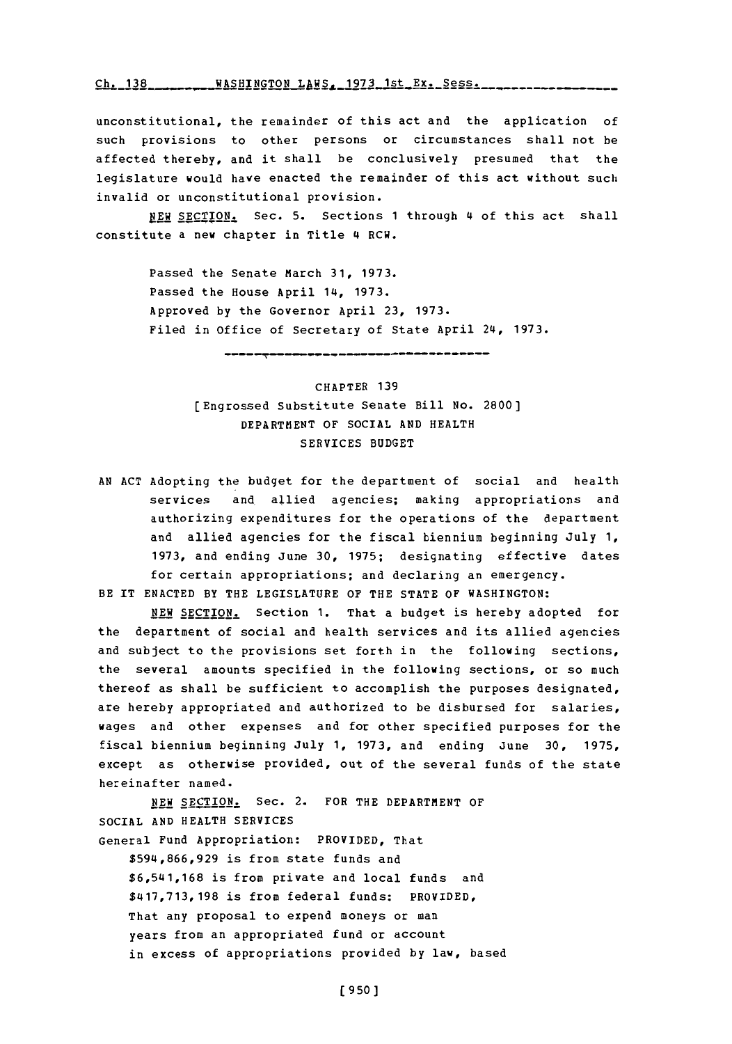**Ch. 138 WASHINGTON LAWS, 1973 1st Ex. Sess.** 

unconstitutional, the remainder of this act and the application of such provisions to other persons or circumstances shall not be affected thereby, and it shall be conclusively presumed that the legislature would have enacted the remainder of this act without such invalid or unconstitutional provision.

**P.KW SECTION.** Sec. **5.** Sections **1** through 4 of this act shall constitute a new chapter in Title 4 RCW.

> Passed the Senate March 31, 1973. Passed the House April 14, **1973.** Approved **by** the Governor April **23, 1973.** Filed in office of Secretary of State April 24, **1973.**

CHAPTER **139** (Engrossed Substitute Senate Bill No. **2800]** DEPARTM1ENT OF SOCIAL **AND** HEALTH SERVICES **BUDGET**

**AN ACT** Adopting the budget for the department of social and health services and, allied agencies; making appropriations and authorizing expenditures for the operations of the department and allied agencies for the fiscal biennium beginning July 1, **1973,** and ending June **30, 1975;** designating effective dates for certain appropriations; and declaring an emergency. BE IT **ENACTED** BY THE LEGISLATURE OF THE **STATE** OF WASHINGTON:

NEW SECTION. Section 1. That a budget is hereby adopted for the department of social and health services and its allied agencies and subject to the provisions set forth in the following sections, the several amounts specified in the following sections, or so much thereof as shall be sufficient to accomplish the purposes designated, are hereby appropriated and authorized to be disbursed for salaries, wages and other expenses and for other specified purposes for the fiscal biennium beginning July **1, 1973,** and ending June **30, 1975,** except as otherwise provided, out of the several funds of the state hereinafter named.

**NEW** SECTION. Sec. 2. FOR THE DEPARTMENT OF SOCIAL **AND** HEALTH SERVICES

General Fund Appropriation: PROVIDED, That

**\$594,866,929** is from state funds and **\$6,541,168** is from private and local funds and **\$417,713,198** is from federal funds: PROVIDED, That any proposal to expend moneys or man years from an appropriated fund or account in excess of appropriations provided **by** law, based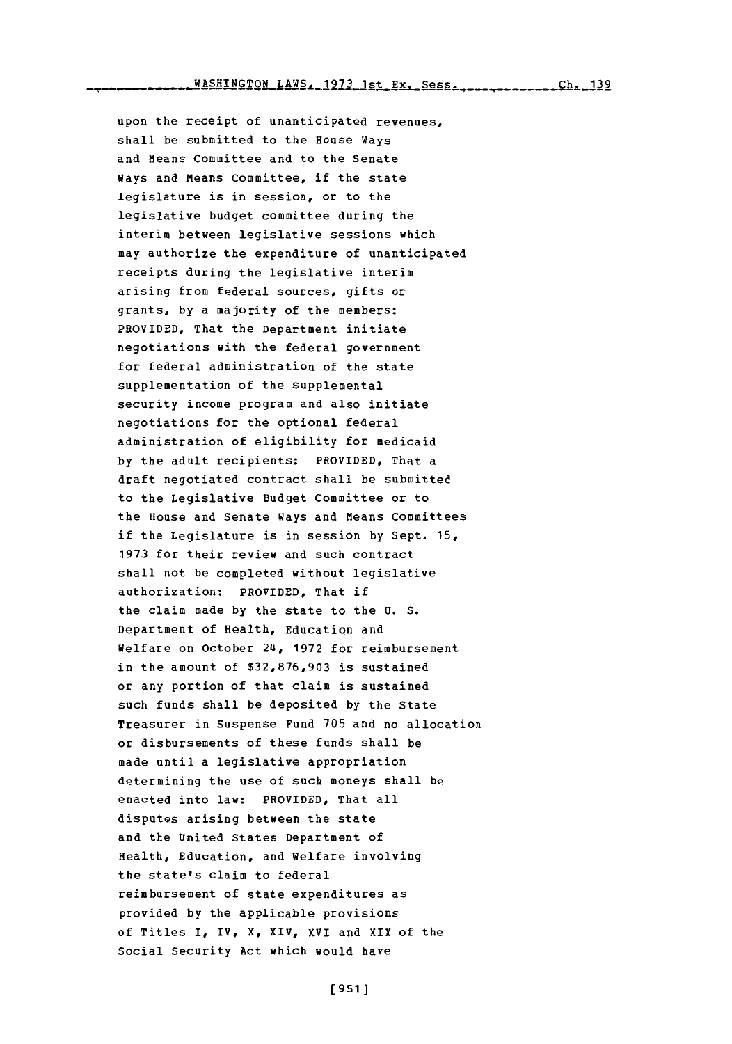upon the receipt of unanticipated revenues, shall be submitted to the House Ways and Means Committee and to the Senate Ways and Means Committee, if the state legislature is in session, or to the legislative budget committee during the interim between legislative sessions which may authorize tbe expenditure of unanticipated receipts during the legislative interim arising from federal sources, gifts or grants, **by** a majority of the members: PROVIDED, That the Department initiate negotiations with the federal government for federal administration of the state supplementation of the supplemental security income program and also initiate negotiations for the optional federal administration of eligibility for medicaid **by** the adult recipients: PROVIDED, That a draft negotiated contract shall be submitted to the Legislative Budget Committee or to the House and Senate Ways and Means Committees if the Legislature is in session **by** Sept. **15, 1973** for their review and such contract shall not be completed without legislative authorization: PROVIDED, That if the claim made **by** the state to the **U. S.** Department of Health, Education and Welfare on October 24, **1972** for reimbursement in the amount of **\$32,876,903** is sustained or any portion of that claim is sustained such funds shall be deposited **by** the State Treasurer in Suspense Fund **705** and no allocation or disbursements of these funds shall be made until a legislative appropriation determining the use of such moneys shall be enacted into law: PROVIDED, That all disputes arising between the state and the United States Department of Health, Education, and Welfare involving the state's claim to federal reimbursement of state expenditures as provided **by** the applicable provisions of Titles I, IV, X, XIV, XVI and XIX of the Social Security Act which would have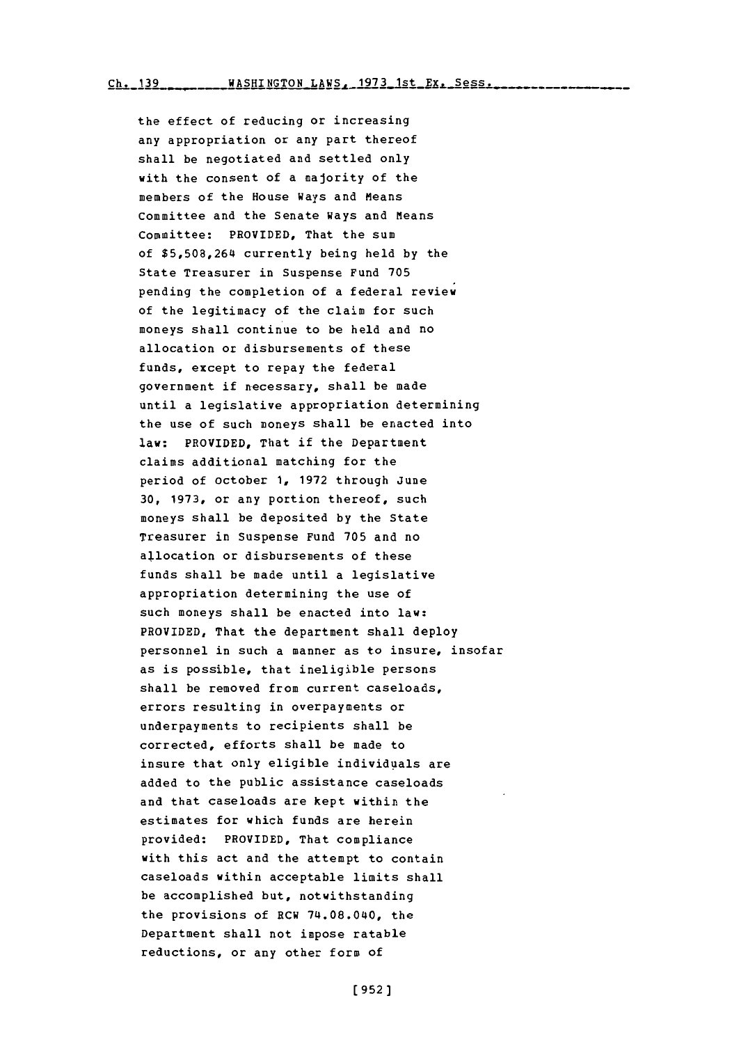Ch. 139 WASHINGTON LAWS, 1973 1st Ex. Sess.

the effect of reducing or increasing any appropriation or any part thereof shall be negotiated and settled only with the consent of a majority of the members of the House Ways and Means Committee and the Senate Ways and Means Committee: PROVIDED, That the sum of **\$5,508,264** currently being held **by** the State Treasurer in Suspense Fund **705** pending the completion of a federal review of the legitimacy of the claim for such moneys shall continue to be held and no allocation or disbursements of these funds, except to repay the federal government if necessary, shall be made until a legislative appropriation determining the use of such moneys shall be enacted into law: PROVIDED, That if the Department claims additional matching for the period of October **1, 1972** through June **30, 1973,** or any portion thereof, such moneys shall be deposited **by** the State Treasurer in Suspense Fund **705** and no allocation or disbursements of these funds shall be made until a legislative appropriation determining the use of such moneys shall be enacted into law: PROVIDED, That the department shall deploy personnel in such a manner as to insure, insofar as is possible, that ineligible persons shall be removed from current caseloads, errors resulting in overpayments or underpayments to recipients shall be corrected, efforts shall be made to insure that only eligible individuals are added to the public assistance caseloads and that caseloads are kept within the estimates for which funds are herein provided: PROVIDED, That compliance with this act and the attempt to contain caseloads within acceptable limits shall be accomplished but, notwithstanding the provisions of RCW 74.08.040, the Department shall not impose ratable reductions, or any other form of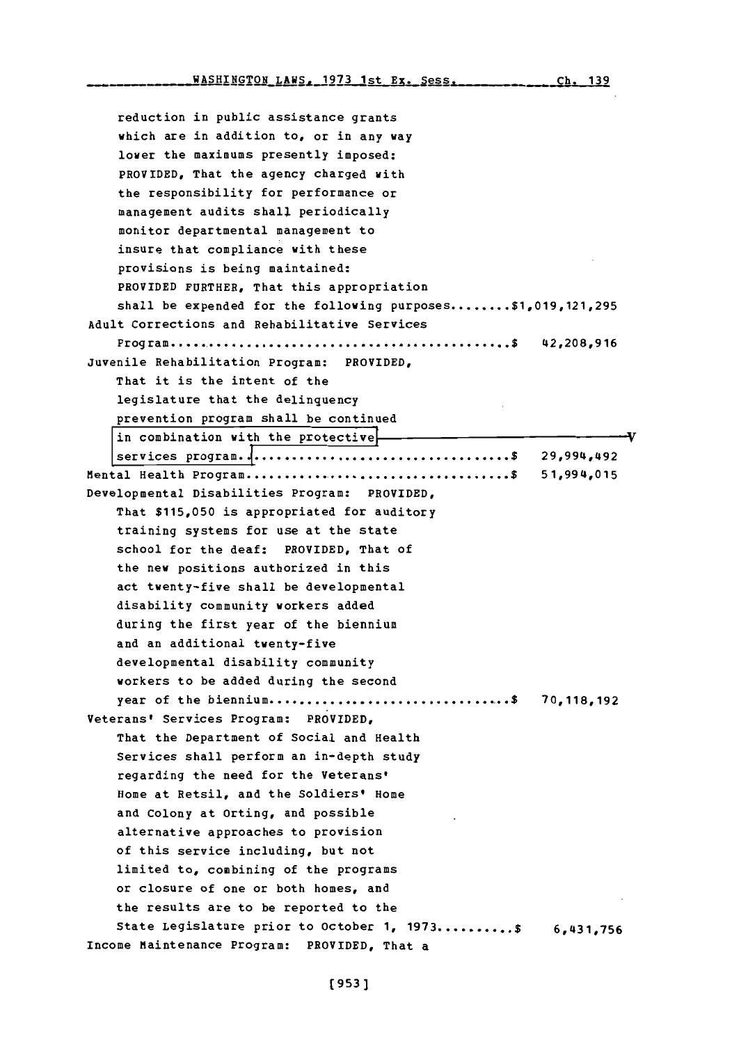reduction in public assistance grants which are in addition to, or in any way lower the maximums presently imposed: PROVIDED, That the agency charged with the responsibility for performance or management audits shall periodically monitor departmental management to insure that compliance with these provisions is being maintained: PROVIDED FURTHER, That this appropriation shall be expended for the following purposes **........ \$1,019,121,295** Adult Corrections and Rehabilitative Services Program **.............................................. \$ 42,208,916** Juvenile Rehabilitation Program: PROVIDED, That it is the intent of the legislature that the delinquency prevention program shall be continued in combination with the protective MIental Health Program **....................................\$ 51,994,015** Developmental Disabilities Program: PROVIDED, That **\$115,050** is appropriated for auditory training systems for use at the state school for the deaf: PROVIDED, That of the new positions authorized in this act twenty-five shall be developmental disability community workers added during the first year of the biennium and an additional twenty-five developmental disability community workers to be added during the second year of the biennium **.......o..........................\$ 70,118,192** Veterans' Services Program: PROVIDED, That the Department of Social and Health Services shall perform an in-depth study regarding the need for the Veterans' Home at Retsil, and the Soldiers' Home and Colony at Orting, and possible alternative approaches to provision of this service including, but not limited to, combining of the programs or closure of one or both homes, and the results are to be reported to the State Legislature prior to October **1, 1973 .......... \$ 6,431,756** Income Maintenance Program: PROVIDED, That a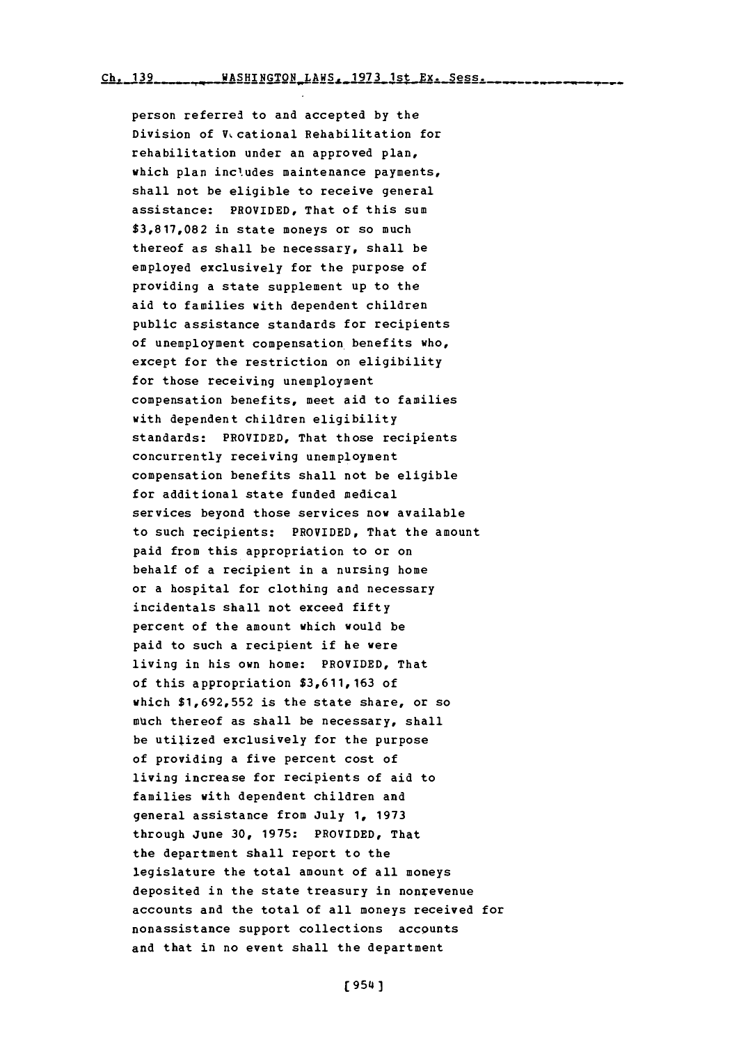person referred to and accepted **by** the Division of V<sub>v</sub> cational Rehabilitation for rehabilitation under an approved plan, which plan includes maintenance payments, shall not be eligible to receive general assistance: PROVIDED, That of this sum **\$3,817,082** in state moneys or so much thereof as shall be necessary, shall be employed exclusively for the purpose **of** providing a state supplement up to the aid to families with dependent children public assistance standards for recipients of unemployment compensation benefits who, except for the restriction on eligibility for those receiving unemployment compensation benefits, meet aid to families with dependent children eligibility standards: PROVIDED, That those recipients concurrently receiving unemployment compensation benefits shall not be eligible for additional state funded medical services beyond those services now available to such recipients: PROVIDED, That the amount paid from this appropriation to or on behalf of a recipient in a nursing home or a hospital for clothing and necessary incidentals shall not exceed fifty percent of the amount which would be paid to such a recipient if he were living in his own home: PROVIDED, That of this appropriation **\$3,611,163** of which **\$1,692,552** is the state share, or so much thereof as shall be necessary, shall be utilized exclusively for the purpose of providing a five percent cost of living increase for recipients of aid to families with dependent children and general assistance from July **1, 1973** through June **30, 1975:** PROVIDED, That the department shall report to the legislature the total amount of all moneys deposited in the state treasury in nonrevenue accounts and the total of all moneys received for nonassistance support collections accounts and that in no event shall the department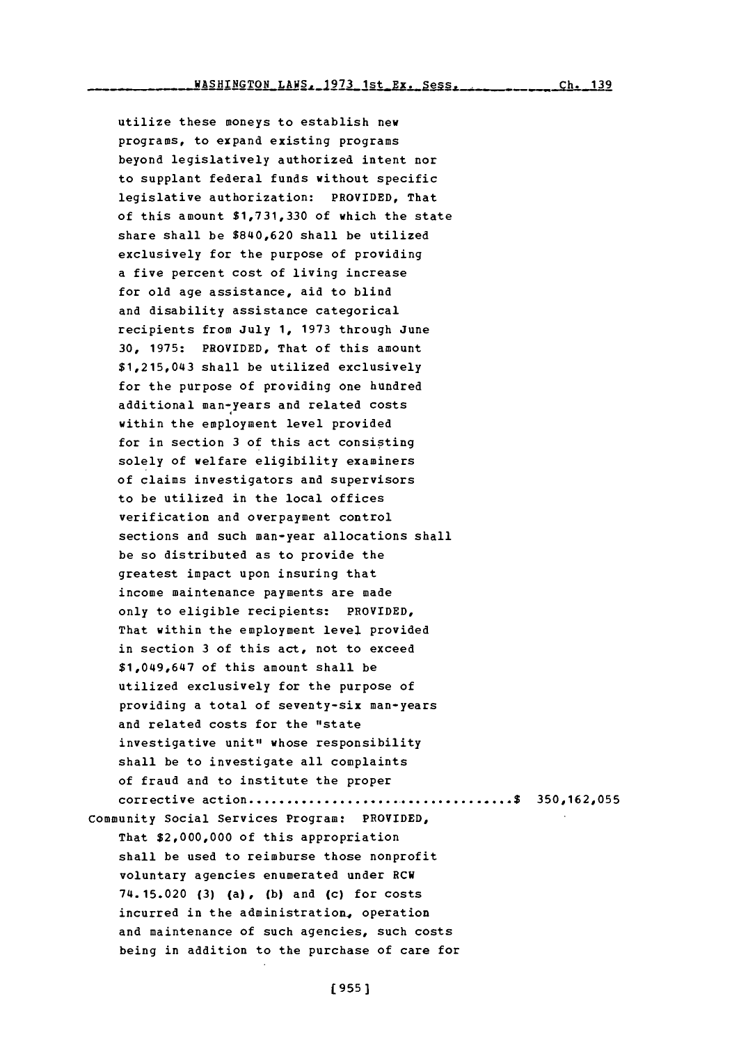utilize these moneys to establish new programs, to expand existing programs beyond legislatively authorized intent nor to supplant federal funds without specific legislative authorization: PROVIDED, That of this amount **\$1,731,330** of which the state share shall be \$840,620 shall be utilized exclusively for the purpose of providing a five percent cost of living increase for old age assistance, aid to blind and disability assistance categorical recipients from July **1, 1973** through June **30, 1975:** PROVIDED, That of this amount \$1,215,043 shall be utilized exclusively for the purpose of providing one hundred additional man-years and related costs within the employment level provided for in section **3** of this act consisting solely of welfare eligibility examiners of claims investigators and supervisors to be utilized in the local offices verification and overpayment control sections and such man-year allocations shall

be so distributed as to provide the greatest impact upon insuring that income maintenance payments are made only to eligible recipients: PROVIDED, That within the employment level provided in section **3** of this act, not to exceed \$1,049,647 of this amount shall be utilized exclusively for the purpose of providing a total of seventy-six man-years and related costs for the "state investigative unit" whose responsibility shall be to investigate all complaints of fraud and to institute the proper corrective action **.................... ................ 350,162,055** Community Social Services Program: PROVIDED,

That \$2,000,000 **of** this appropriation shall be used to reimburse those nonprofit voluntary agencies enumerated under RCW 74. 15.020 **(3)** (a), **(b)** and (c) for costs incurred in the administration, operation and maintenance of such agencies, such costs being in addition to the purchase of care for

**(9551**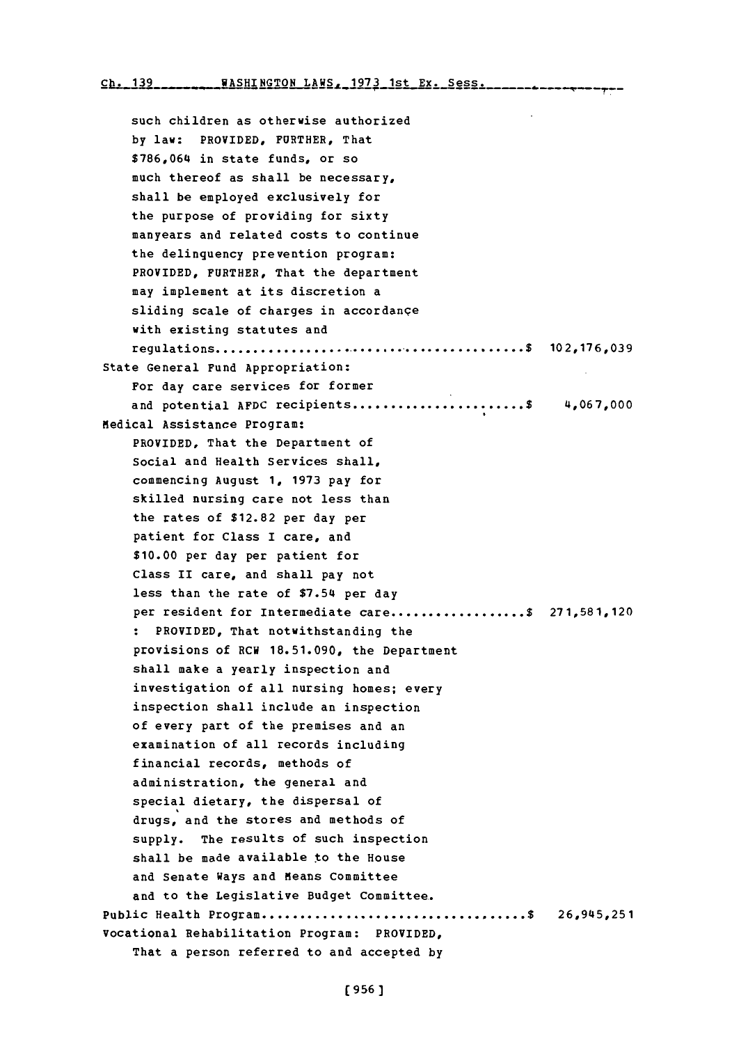**Ch. 139 WASHTNGTON** T.AWS- **1973** 1st **Ex.** Spss

such children as otherwise authorized **by** law: PROVIDED, FURTHER, That **\$786,064** in state funds, or so much thereof as shall be necessary, shall be employed exclusively for the purpose of providing for sixty manyears and related costs to continue the delinquency prevention program: PROVIDED, FURTHER, That the department may implement at its discretion a sliding scale of charges in accordanqe with existing statutes and regulations **...........................................\$ 102,176,039** State General Fund Appropriation: For day care services for former and potential AFDC recipients ............................\$ 4,067,000 Medical Assistance Program: PROVIDED, That the Department of Social and Health services shall, commencing August **1, 1973** pay for skilled nursing care not less than the rates of **\$12.82** per day per patient for Class I care, and **\$10.00** per day per patient for Class II care, and shall pay not less than the rate of \$7.54 per day per resident for intermediate care **..................\$ 271,581,120 :** PROVIDED, That notwithstanding the provisions of RCW **18.51.090,** the Department shall make a yearly inspection and investigation of all nursing homes; every inspection shall include an inspection of every part of the premises and an examination of all records including financial records, methods of administration, the general and special dietary, the dispersal of drugs, and the stores and methods of **supply.** The results of such inspection shall be made available to the House and Senate Ways and Means Committee and to the Legislative Budget Committee.. Public Health **Program.................................... \$ 26,945,251** Vocational Rehabilitation Program: PROVIDED, That a person referred to and accepted **by**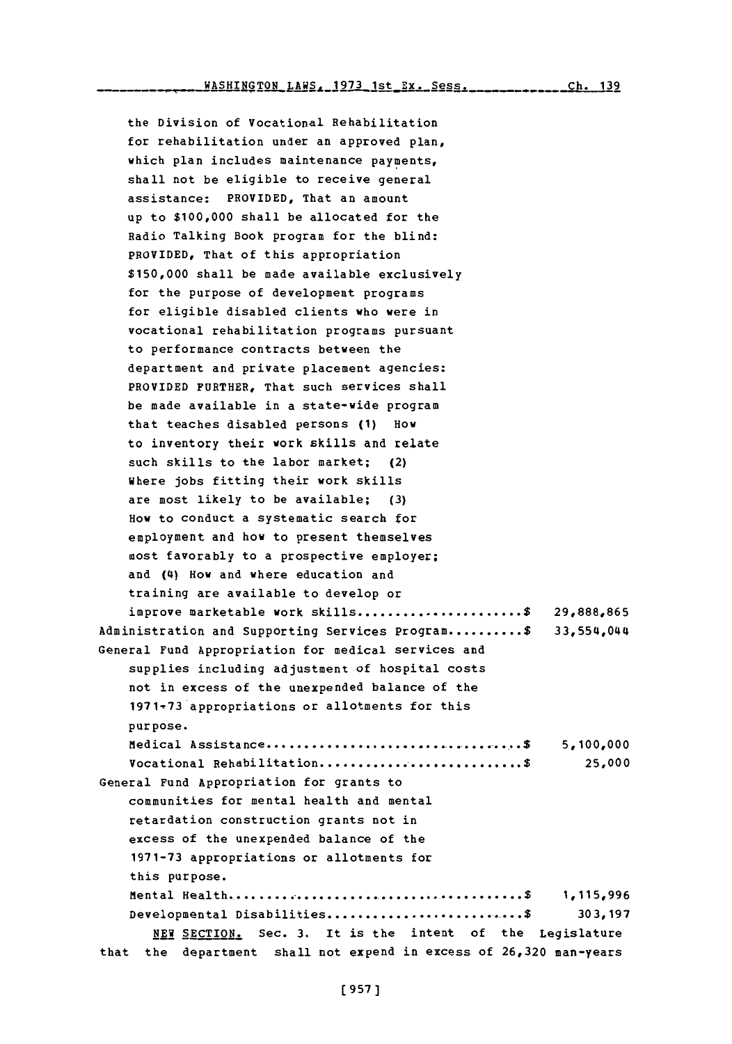the Division of Vocational Rehabilitation for rehabilitation under an approved plan, which plan includes maintenance payments, shall not be eligible to receive general assistance: PROVIDED, That an amount up to **\$100,000** shall be allocated for the Radio Talking Book program for the blind: PROVIDED, That of this appropriation **\$150,000** shall be made available exclusively for the purpose of development programs for eligible disabled clients who were in vocational rehabilitation programs pursuant to performance contracts between the department and private placement agencies: PROVIDED FURTHER, That such services shall be made available in a state-wide program that teaches disabled persons **(1)** How to inventory their work skills and relate such skills to the labor market; (2) Where jobs fitting their work skills are most likely to be available; **(3)** How to conduct a systematic search for employment and how to present themselves most favorably to a prospective employer; and (4) How and where education and training are available to develop or improve marketable work skills **...................... S 29,888,865** Administration and Supporting Services Program **.......... \$** 33,554,044 General Fund Appropriation for medical services and supplies including adjustment of hospital costs not in excess of the unexpended balance of the **1971,73** appropriations or allotments for this purpose. Medical Assistance **.................................... \$ 5,100,000** vocational Rehabilitation **........................... \$ 25,000** General Fund Appropriation for grants to communities for mental health and mental retardation construction grants not in excess of the unexpended balance of the **1971-73** appropriations or allotments for this purpose. Mental Health **.........................................\$ 1,115,996** Developmental Disabilities **...........................\$ 303,197 NEW** SECTION. Sec. **3.** It is the intent of the Legislature that the department shall not expend in excess of **26,320** man-years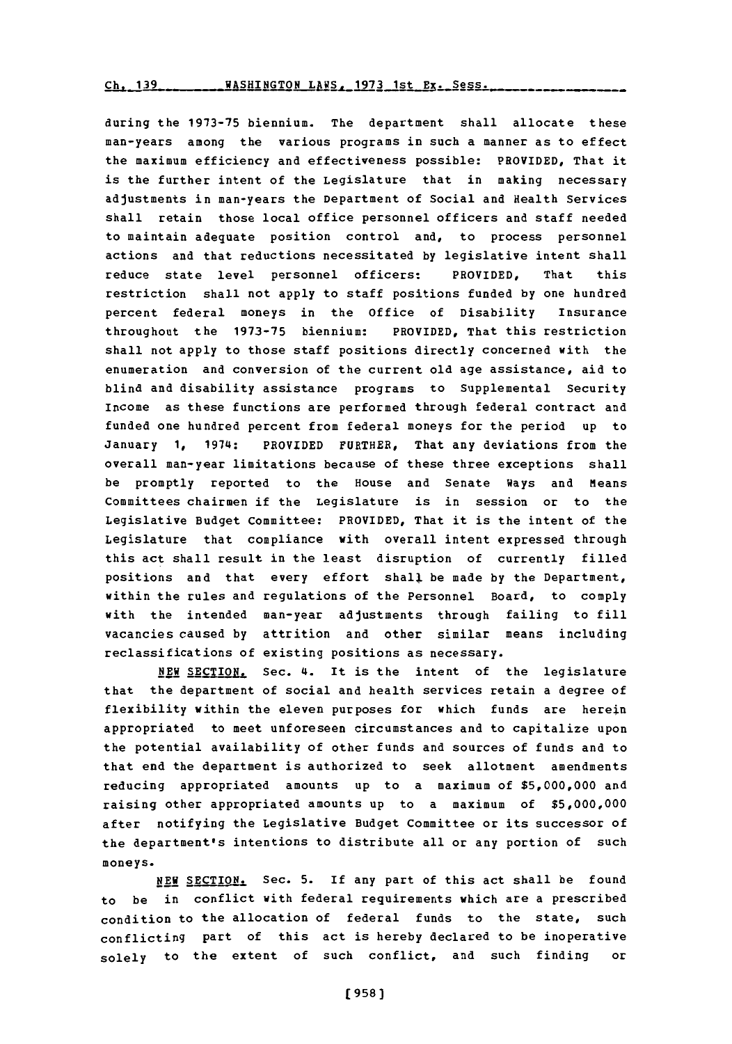**g] 139** WASHINGTON LAWS. **1973** 1st Ex. Sess.

during the **1973-75** biennium. The department shall allocate these man-years among the various programs in such a manner as to effect the maximum efficiency and effectiveness possible: PROVIDED, That it is the further intent of the Legislature that in making necessary adjustments in man-years the Department of Social and Health Services shall retain those local office personnel officers and staff needed to maintain adequate position control and, to process personnel actions and that reductions necessitated **by** legislative intent shall reduce state level personnel officers: PROVIDED, That this restriction shall not apply to staff positions funded **by** one hundred percent federal moneys in the Office of Disability Insurance throughout the **1973-75** biennium: PROVIDED, That this restriction shall not apply to those staff positions directly concerned with the enumeration and conversion of the current old age assistance, aid to blind and disability assistance programs to Supplemental Security Income as these functions are performed through federal contract and funded one hundred percent from federal moneys for the period up to January **1,** 1974: PROVIDED FURTHER, That any deviations from the overall man-year limitations because of these three exceptions shall be promptly reported to the House and Senate Ways and Means Committees chairmen if the Legislature is in session or to the Legislative Budget Committee: PROVIDED, That it is the intent of the Legislature that compliance with overall intent expressed through this act shall result in the least disruption of currently filled positions and that every effort shall be made **by** the Department, within the rules and regulations of the Personnel Board, to comply with the intended man-year adjustments through failing to fill vacancies caused **by** attrition and other similar means including reclassifications of existing positions as necessary.

**NEW** SECTION, Sec. 4. It is the intent of the legislature that the department of social and health services retain a degree of flexibility within the eleven purposes for which funds are herein appropriated to meet unforeseen circumstances and to capitalize upon the potential availability of other funds and sources of funds and to that end the department is authorized to seek allotment amendments reducing appropriated amounts up to a maximum of **\$5,000,000** and raising other appropriated amounts up to a maximum of **\$5,000,000** after notifying the Legislative Budget Committee or its successor of the department's intentions to distribute all or any portion of such moneys.

**NEW** SECTION. Sec. **5.** If any part of this act shall be found to be in conflict with federal requirements which are a prescribed condition to the allocation of federal funds to the state, such conflicting part of this act is hereby declared to be inoperative solely to the extent of such conflict, and such finding or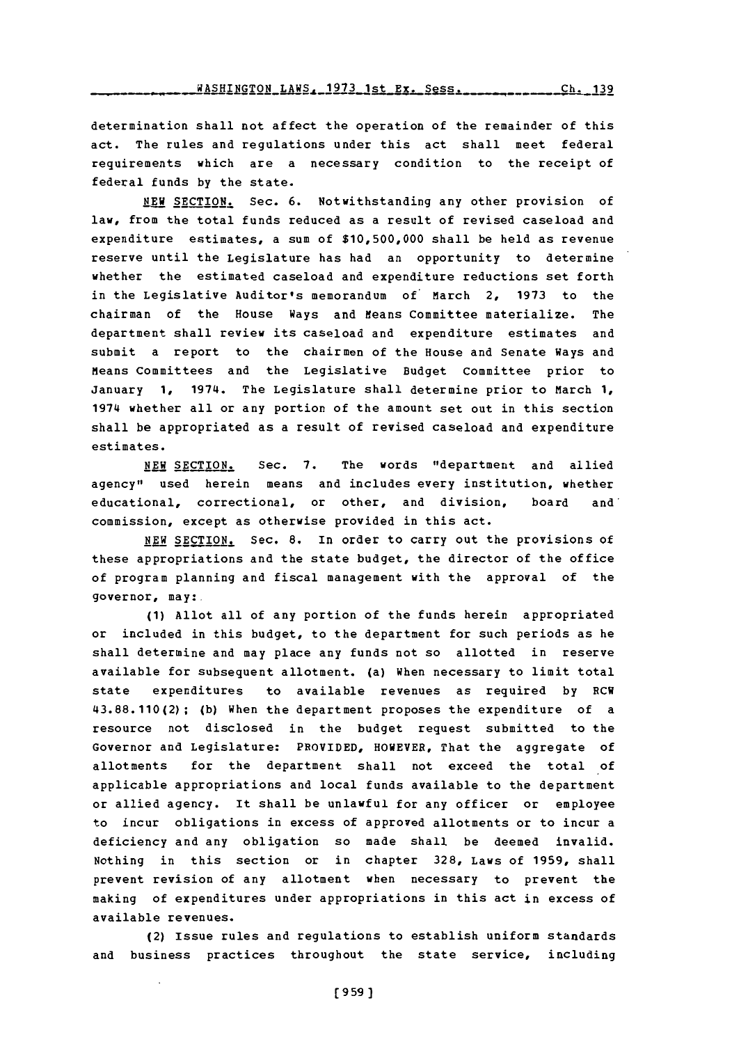**WASHINGTON\_LAWS. 1973\_1st\_Ex. Sess.** \_\_\_\_\_\_\_\_\_\_\_\_\_Ch. 139

determination shall not affect the operation of the remainder of this act. The rules and regulations under this act shall meet federal requirements which are a necessary condition to the receipt of federal funds **by** the state.

**NEW** SECTION. Sec. **6.** Notwithstanding any other provision of law, from the total funds reduced as a result of revised caseload and expenditure estimates, a sum of **\$10,500,000** shall be held as revenue reserve until the Legislature has had an opportunity to determine whether the estimated caseload and expenditure reductions set forth in the Legislative Auditor's memorandum of March 2, **1973** to the chairman of the House Ways and Means Committee materialize. The department shall review its caseload and expenditure estimates and submit a report to the chairmen of the House and Senate Ways and Means Committees and the Legislative Budget Committee prior to January **1,** 1974. The Legislature shall determine prior to March **1,** 1974 whether all or any portion of the amount set out in this section shall be appropriated as a result of revised caseload and expenditure estimates.

NEW SECTION. Sec. 7. The words "department and allied agency" used herein means and includes every institution, whether educational, correctional, or other, and division, board and' commission, except as otherwise provided in this act.

**NEW** SECTION. Sec. **8.** In order to carry out the provisions of these appropriations and the state budget, the director of the office of program planning and fiscal management with the approval of the governor, may:.

**(1)** Allot all of any portion of the funds herein appropriated or included in this budget, to the department for such periods as he shall determine and may place any funds not so allotted in reserve available for subsequent allotment. (a) When necessary to limit total state expenditures to available revenues as required **by** RCW **43.88.110(2); (b)** When the department proposes the expenditure of a resource not disclosed in the budget request submitted to the Governor and Legislature: PROVIDED, HOWEVER, That the aggregate of allotments for the department shall not exceed the total of applicable appropriations and local funds available to the department or allied agency. It shall be unlawful for any officer or employee to incur obligations in excess of approved allotments or to incur a deficiency and any obligation so made shall be deemed invalid. Nothing in this section or in chapter **328,** Laws of **1959,** shall prevent revision of any allotment when necessary to prevent the making of expenditures under appropriations in this act in excess of available revenues.

(2) Issue rules and regulations to establish uniform standards and business practices throughout the state service, including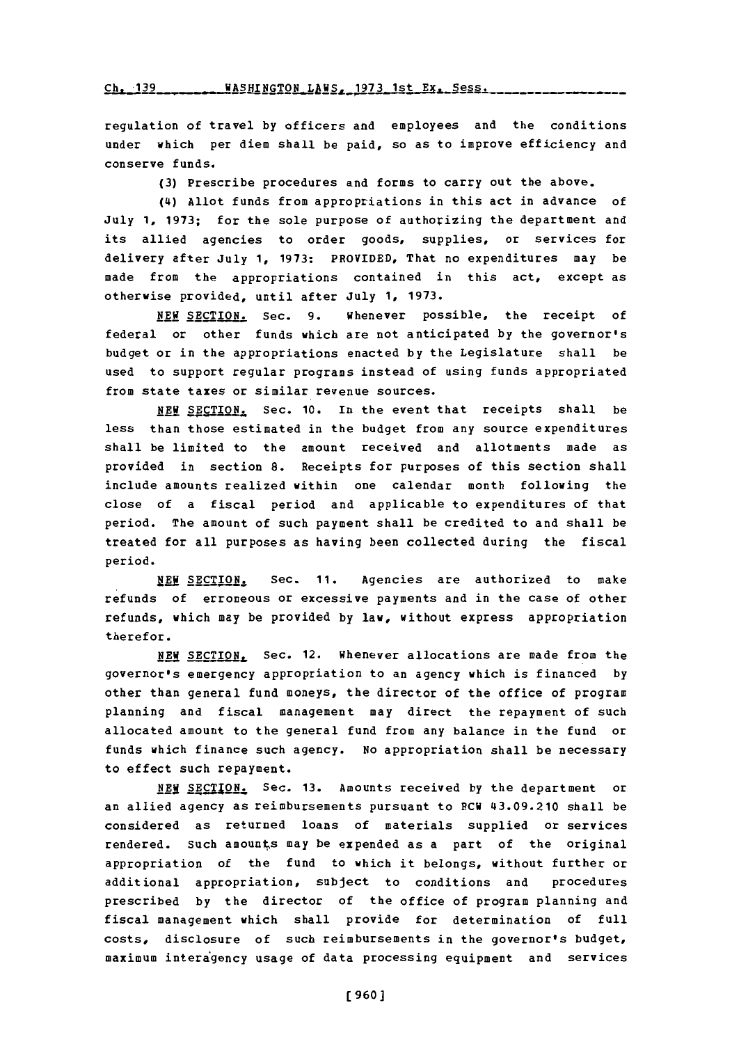Ch. 139 WASHINGTON LAWS, 1973 1st Ex. Sess.

regulation of travel **by** officers and employees and the conditions under which per diem shall be paid, so as to improve efficiency and conserve funds.

**(3)** Prescribe procedures and forms to carry out the above.

(4) Allot funds from appropriations in this act in advance of July **1, 1973;** for the sole purpose of authorizing the department and its allied agencies to order goods, supplies, or services for delivery after July **1, 1973:** PROVIDED, That no expenditures may be made from the appropriations contained in this act, except as otherwise provided, until after July **1, 1973.**

**NEW** SECTION. Sec. **9.** Whenever possible, the receipt of federal or other funds which are not anticipated **by** the governor's budget or in the appropriations enacted **by** the Legislature shall be used to support regular programs instead of using funds appropriated from state taxes or similar revenue sources.

NEWI **SiECTN.** Sec. **10.** In the event that receipts shall be less than those estimated in the budget from any source expenditures shall be limited to the amount received and allotments made as provided in section **8.** Receipts for purposes of this section shall include amounts realized within one calendar month following the close of a fiscal period and applicable to expenditures of that period. The amount of such payment shall be credited to and shall be treated for all purposes as having been collected during the fiscal period.

NEW SECTION. Sec. 11. Agencies are authorized to make refunds of erroneous or excessive payments and in the case of other refunds, which may be provided **by** law, without express appropriation therefor.

NEW SECTION, Sec. 12. Whenever allocations are made from the governor's emergency appropriation to an agency which is financ ed **by** other than general fund moneys, the director of the office of program planning and fiscal management may direct the repayment of such allocated amount to the general fund from any balance in the fund or funds which finance such agency. No appropriation shall be necessary to effect such repayment.

NEW1 **24CT12N.J** Sec. **13.** Amounts received **by** the department or an allied agency as reimbursements pursuant to RCW 43.09.210 shall be considered as returned loans of materials supplied or services rendered. Such amounts may be expended as a part of the original appropriation of the fund to which it belongs, without further or additional appropriation, subject to conditions and procedures prescribed **by** the director of the office of program planning and fiscal management which shall provide for determination of full costs, disclosure of such reimbursements in the governor's budget, maximum interagency usage of data processing equipment and services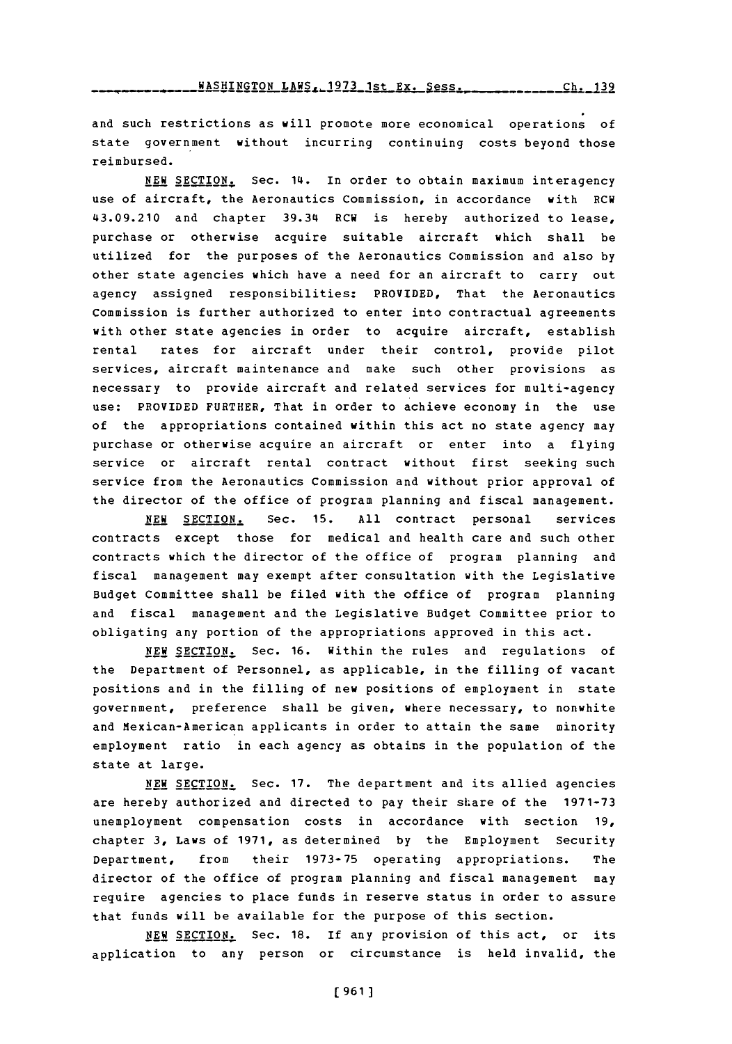*HASHINGTON LAWS, 1973 1st Ex. Sess. \_\_\_\_\_\_\_\_\_\_ Ch. 139* 

and such restrictions as will promote more economical operations **of** state government without incurring continuing costs beyond those reimbursed.

**NEW** SECTION. Sec. 14. In order to obtain maximum interagency use of aircraft, the Aeronautics Commission, in accordance with RCW 43.09.210 and chapter 39.34 RCW is hereby authorized to lease, purchase or otherwise acquire suitable aircraft which shall be utilized for the purposes of the Aeronautics Commission and also **by** other state agencies which have a need for an aircraft to carry out agency assigned responsibilities: PROVIDED, That the Aeronautics Commission is further authorized to enter into contractual agreements with other state agencies in order to acquire aircraft, establish rental rates for aircraft under their control, provide pilot services, aircraft maintenance and make such other provisions as necessary to provide aircraft and related services for multi-agency use: PROVIDED FURTHER, That in order to achieve economy in the use of the appropriations contained within this act no state agency may purchase or otherwise acquire an aircraft or enter into a flying service or aircraft rental contract without first seeking such service from the Aeronautics commission and without prior approval of the director of the office of program planning and fiscal management.

**NEW** SECTION. Sec. **15. All** contract personal services contracts except those for medical and health care and such other contracts which the director of the office of program planning and fiscal management may exempt after consultation with the Legislative Budget Committee shall be filed with the office of program planning and fiscal management and the Legislative Budget Committee prior to obligating any portion of the appropriations approved in this act.

**NEW SECTION.** Sec. **16.** Within the rules and regulations of the Department of Personnel, as applicable, in the filling of vacant positions and in the filling of new positions of employment in state government, preference shall be given, where necessary, to nonwhite and Mexican-American applicants in order to attain the same minority employment ratio in each agency as obtains in the population of the state at large.

**NEW** SECTION. Sec. **17.** The department and its allied agencies are hereby authorized and directed to pay their share of the **1971-73** unemployment compensation costs in accordance with section **19,** chapter **3,** Laws of **1971,** as determined **by** the Employment Security Department, from their **1973-75** operating appropriations. The director of the office of program planning and fiscal management may require agencies to place funds in reserve status in order to assure that funds will be available for the purpose of this section.

**NEW** SECTION. Sec. **18.** If any provision of this act, or its application to any person or circumstance is held invalid, the